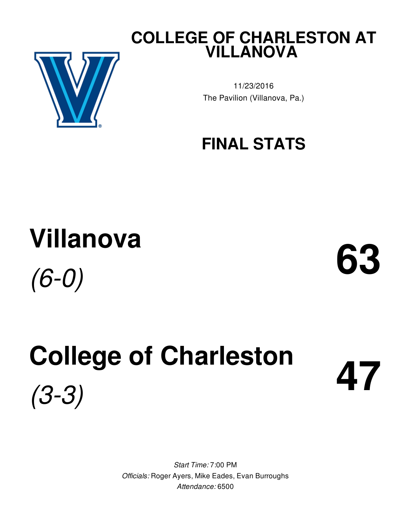### **COLLEGE OF CHARLESTON AT VILLANOVA**



11/23/2016 The Pavilion (Villanova, Pa.)

## **FINAL STATS**

## **Villanova** *(6-0)* **63**

# **College of Charleston** *(3-3)* **47**

*Start Time:* 7:00 PM *Officials:* Roger Ayers, Mike Eades, Evan Burroughs *Attendance:* 6500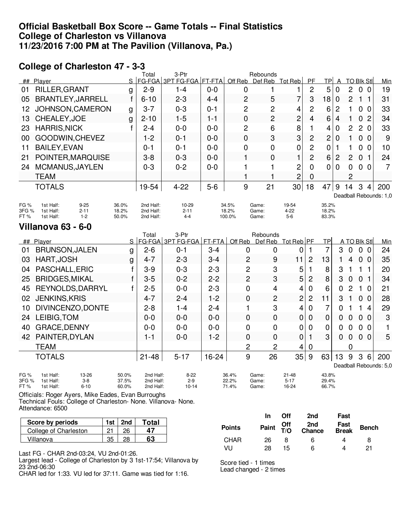#### **Official Basketball Box Score -- Game Totals -- Final Statistics College of Charleston vs Villanova 11/23/2016 7:00 PM at The Pavilion (Villanova, Pa.)**

#### **College of Charleston 47 - 3-3**

|                       |                                                                   |                         | Total                               | 3-Ptr                          |         |                         | Rebounds                |                                |                  |                         |                |                |                   |                  |                        |
|-----------------------|-------------------------------------------------------------------|-------------------------|-------------------------------------|--------------------------------|---------|-------------------------|-------------------------|--------------------------------|------------------|-------------------------|----------------|----------------|-------------------|------------------|------------------------|
|                       | ## Player                                                         | S                       |                                     | FG-FGA 3PT FG-FGA FT-FTA       |         | Off Reb                 | Def Reb                 | <b>Tot Reb</b>                 | PF               | <b>TP</b>               | A              |                | <b>TO BIK Stl</b> |                  | Min                    |
| 01                    | RILLER, GRANT                                                     | g                       | $2 - 9$                             | $1 - 4$                        | $0 - 0$ | 0                       | 1                       | 1                              | $\overline{c}$   | 5                       | $\mathbf 0$    | $\overline{c}$ | $\mathbf 0$       | $\overline{0}$   | 19                     |
| 05                    | <b>BRANTLEY, JARRELL</b>                                          | f                       | $6 - 10$                            | $2 - 3$                        | $4 - 4$ | $\overline{2}$          | 5                       | 7                              | 3                | 18                      | $\mathbf 0$    | $\overline{2}$ | $\mathbf{1}$      | $\mathbf{1}$     | 31                     |
| 12                    | JOHNSON, CAMERON                                                  | g                       | $3 - 7$                             | $0 - 3$                        | $0 - 1$ | $\overline{c}$          | $\overline{c}$          | 4                              | $\overline{c}$   | 6                       | 2              | 1              | 0                 | $\mathbf 0$      | 33                     |
| 13                    | CHEALEY, JOE                                                      | g                       | $2 - 10$                            | $1-5$                          | $1 - 1$ | 0                       | $\overline{2}$          | $\overline{c}$                 | 4                | 6                       | $\overline{4}$ | 1              | 0                 | $\overline{c}$   | 34                     |
| 23                    | <b>HARRIS, NICK</b>                                               | f                       | $2 - 4$                             | $0 - 0$                        | $0 - 0$ | 2                       | 6                       | 8                              | $\mathbf{1}$     | 4                       | 0              | $\overline{c}$ | $\overline{c}$    | $\overline{0}$   | 33                     |
| 00                    | GOODWIN, CHEVEZ                                                   |                         | $1 - 2$                             | $0 - 1$                        | $0 - 0$ | 0                       | 3                       | 3                              | $\overline{c}$   | $\overline{c}$          | 0              | 1.             | 0 <sub>0</sub>    |                  | 9                      |
| 11                    | <b>BAILEY, EVAN</b>                                               |                         | $0 - 1$                             | $0 - 1$                        | $0 - 0$ | 0                       | 0                       | 0                              | $\overline{2}$   | 0                       | $\mathbf{1}$   | 1              | 0                 | $\boldsymbol{0}$ | 10                     |
| 21                    | POINTER, MARQUISE                                                 |                         | $3 - 8$                             | $0 - 3$                        | $0 - 0$ | $\mathbf{1}$            | $\mathbf 0$             | $\mathbf{1}$                   | $\overline{c}$   | 6                       | $\overline{c}$ | $\overline{c}$ | $\mathbf 0$       | $\overline{1}$   | 24                     |
| 24                    | MCMANUS, JAYLEN                                                   |                         | $0 - 3$                             | $0 - 2$                        | $0 - 0$ | 1                       | 1                       | $\overline{c}$                 | $\overline{0}$   | 0                       | 0              | 0              | $\mathbf 0$       | $\overline{0}$   | 7                      |
|                       | <b>TEAM</b>                                                       |                         |                                     |                                |         | 1                       |                         | $\overline{c}$                 | $\mathbf 0$      |                         |                | $\overline{c}$ |                   |                  |                        |
|                       | <b>TOTALS</b>                                                     |                         | 19-54                               | $4 - 22$                       | $5-6$   | 9                       | 21                      | 30                             | 18               | 47                      | 9              | 14             | 3                 | 4                | 200                    |
|                       |                                                                   |                         |                                     |                                |         |                         |                         |                                |                  |                         |                |                |                   |                  | Deadball Rebounds: 1,0 |
| FG %<br>3FG %         | 1st Half:<br>$9 - 25$<br>1st Half:<br>$2 - 11$                    | 36.0%<br>18.2%          | 2nd Half:<br>2nd Half:              | 10-29<br>$2 - 11$              |         | 34.5%<br>18.2%          | Game:<br>Game:          | 19-54<br>$4 - 22$              |                  | 35.2%<br>18.2%          |                |                |                   |                  |                        |
| FT%                   | 1st Half:<br>$1 - 2$                                              | 50.0%                   | 2nd Half:                           | $4 - 4$                        |         | 100.0%                  | Game:                   | $5-6$                          |                  | 83.3%                   |                |                |                   |                  |                        |
|                       | Villanova 63 - 6-0                                                |                         |                                     |                                |         |                         |                         |                                |                  |                         |                |                |                   |                  |                        |
|                       |                                                                   |                         |                                     |                                |         |                         |                         |                                |                  |                         |                |                |                   |                  |                        |
|                       |                                                                   |                         | Total                               | 3-Ptr                          |         |                         | Rebounds                |                                |                  |                         |                |                |                   |                  |                        |
|                       | ## Player                                                         | S                       | <b>FG-FGA</b>                       | 3PT FG-FGA                     | FT-FTA  | Off Reb                 | Def Reb                 | Tot Reb PF                     |                  | <b>TP</b>               |                |                | A TO BIk Stl      |                  | <u>Min</u>             |
| 01                    | <b>BRUNSON, JALEN</b>                                             | g                       | $2 - 6$                             | $0 - 1$                        | $3 - 4$ | 0                       | 0                       | 0                              | $\mathbf{1}$     | $\overline{7}$          | 3              | $\mathbf 0$    | $\mathbf 0$       | $\overline{0}$   | 24                     |
| 03                    | <b>HART, JOSH</b>                                                 | g                       | $4 - 7$                             | $2 - 3$                        | $3 - 4$ | $\overline{2}$          | 9                       | 11                             | $\overline{c}$   | 13                      | 1              | 4              | $\mathbf 0$       | $\overline{0}$   | 35                     |
| 04                    | PASCHALL, ERIC                                                    | f                       | $3-9$                               | $0 - 3$                        | $2 - 3$ | 2                       | 3                       | 5                              | 1                | 8                       | 3              | 1              | 1                 | 1                | 20                     |
| 25                    | <b>BRIDGES, MIKAL</b>                                             | $\mathsf{f}$            | $3 - 5$                             | $0 - 2$                        | $2 - 2$ | $\overline{2}$          | 3                       | 5                              | $\overline{c}$   | 8                       | 3              | $\mathbf 0$    | $\mathbf 0$       | $\mathbf{1}$     | 34                     |
| 45                    | REYNOLDS, DARRYL                                                  | f                       | $2 - 5$                             | $0 - 0$                        | $2 - 3$ | 0                       | 4                       | 4                              | $\mathbf 0$      | 6                       | 0              | 2              | $\mathbf{1}$      | $\overline{0}$   | 21                     |
| 02                    | <b>JENKINS, KRIS</b>                                              |                         | $4 - 7$                             | $2 - 4$                        | $1 - 2$ | $\mathbf 0$             | $\overline{2}$          | 2                              | $\overline{c}$   | 11                      | 3              | $\mathbf{1}$   | $\mathbf 0$       | $\overline{0}$   | 28                     |
| 10                    | DIVINCENZO, DONTE                                                 |                         | $2 - 8$                             | $1 - 4$                        | $2 - 4$ | 1                       | 3                       | 4                              | 0                | 7                       | 0              | 1              | 1                 | $\overline{4}$   | 29                     |
| 24                    | LEIBIG, TOM                                                       |                         | $0 - 0$                             | $0 - 0$                        | $0 - 0$ | $\overline{0}$          | $\mathbf 0$             | 0                              | $\mathbf 0$      | 0                       | 0              | 0              | 0                 | $\overline{0}$   | 3                      |
| 40                    | GRACE, DENNY                                                      |                         | $0 - 0$                             | $0 - 0$                        | $0 - 0$ | $\mathbf 0$             | 0                       | 0                              | $\mathbf 0$      | 0                       | 0              | 0              | $\mathbf 0$       | $\overline{0}$   | 1                      |
| 42                    | PAINTER, DYLAN                                                    |                         | $1 - 1$                             | $0 - 0$                        | $1 - 2$ | $\mathbf 0$             | 0                       | 0                              | $\mathbf{1}$     | 3                       | 0              | $\mathbf 0$    | 0 <sub>0</sub>    |                  | 5                      |
|                       | <b>TEAM</b>                                                       |                         |                                     |                                |         | $\mathbf 2$             | 2                       | 4                              | $\boldsymbol{0}$ |                         |                | 0              |                   |                  |                        |
|                       | <b>TOTALS</b>                                                     |                         | $21 - 48$                           | $5 - 17$                       | 16-24   | 9                       | 26                      | 35                             | 9                | 63                      | 13             | 9              | $\mathbf{3}$      | 6                | 200                    |
|                       |                                                                   |                         |                                     |                                |         |                         |                         |                                |                  |                         |                |                |                   |                  | Deadball Rebounds: 5,0 |
| FG %<br>3FG %<br>FT % | 13-26<br>1st Half:<br>1st Half:<br>$3-8$<br>$6 - 10$<br>1st Half: | 50.0%<br>37.5%<br>60.0% | 2nd Half:<br>2nd Half:<br>2nd Half: | $8 - 22$<br>$2-9$<br>$10 - 14$ |         | 36.4%<br>22.2%<br>71.4% | Game:<br>Game:<br>Game: | $21 - 48$<br>$5 - 17$<br>16-24 |                  | 43.8%<br>29.4%<br>66.7% |                |                |                   |                  |                        |

Officials: Roger Ayers, Mike Eades, Evan Burroughs

Technical Fouls: College of Charleston- None. Villanova- None. Attendance: 6500

| Score by periods      | 1st | 2nd | Total |
|-----------------------|-----|-----|-------|
| College of Charleston |     | 26  |       |
| Villanova             |     | 28  |       |

Last FG - CHAR 2nd-03:24, VU 2nd-01:26.

Largest lead - College of Charleston by 3 1st-17:54; Villanova by 23 2nd-06:30

CHAR led for 1:33. VU led for 37:11. Game was tied for 1:16.

**In Off 2nd Fast Points Paint Off T/O 2nd Chance Fast Break Bench** CHAR 26 8 6 4 8 VU 28 15 6 4 21

Score tied - 1 times

Lead changed - 2 times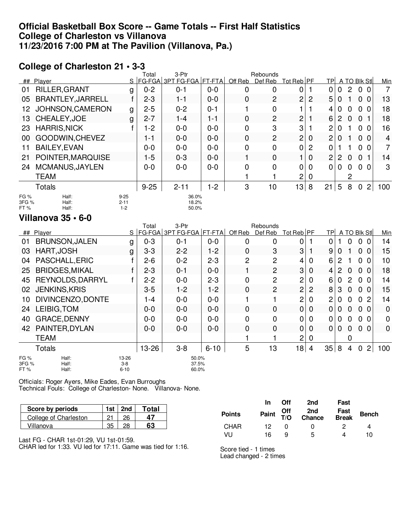#### **Official Basketball Box Score -- Game Totals -- First Half Statistics College of Charleston vs Villanova 11/23/2016 7:00 PM at The Pavilion (Villanova, Pa.)**

### **College of Charleston 21 • 3-3**

|                      |                          |                                 | Total    | 3-Ptr                    |         |         | Rebounds       |                 |   |                |                 |                |                            |     |
|----------------------|--------------------------|---------------------------------|----------|--------------------------|---------|---------|----------------|-----------------|---|----------------|-----------------|----------------|----------------------------|-----|
|                      | ## Player                | S                               |          | FG-FGA 3PT FG-FGA FT-FTA |         | Off Reb | Def Reb        | Tot Reb PF      |   | <b>TP</b>      |                 |                | A TO Blk Stl               | Min |
| 01                   | RILLER, GRANT            | g                               | $0 - 2$  | $0 - 1$                  | $0 - 0$ | 0       | 0              | 0               |   | 0              | 0               | $\overline{2}$ | $\Omega$<br>- 0            |     |
| 05                   | <b>BRANTLEY, JARRELL</b> |                                 | $2 - 3$  | $1 - 1$                  | $0 - 0$ | 0       | $\overline{2}$ | 2               | 2 | 5              | 0               |                | $\mathbf{0}$<br>- 0        | 13  |
| 12.                  | JOHNSON, CAMERON         | g                               | $2 - 5$  | $0 - 2$                  | $0 - 1$ |         | 0              |                 |   | 4              | 0               | 0              | $\Omega$<br>0              | 18  |
| 13.                  | CHEALEY, JOE             | g                               | $2 - 7$  | $1 - 4$                  | 1-1     | 0       | $\overline{c}$ | $\overline{c}$  |   | 6              | 2               | 0              | $\mathbf 0$                | 18  |
| 23                   | <b>HARRIS, NICK</b>      |                                 | $1-2$    | $0-0$                    | $0 - 0$ | 0       | 3              | 3               |   | 2              | 0               |                | $\Omega$<br>$\overline{0}$ | 16  |
| 00                   | GOODWIN, CHEVEZ          |                                 | 1-1      | $0 - 0$                  | $0 - 0$ | 0       | $\overline{c}$ | $\overline{2}$  | 0 | $\overline{2}$ | 0               |                | $\mathbf{0}$<br>0          | 4   |
| 11                   | <b>BAILEY, EVAN</b>      |                                 | $0 - 0$  | $0 - 0$                  | $0 - 0$ | 0       | 0              | $\mathbf 0$     | 2 | 0              |                 |                | $\Omega$<br>- 0            | 7   |
| 21                   | POINTER, MARQUISE        |                                 | $1-5$    | $0 - 3$                  | $0 - 0$ |         | $\mathbf 0$    |                 | 0 | $\overline{2}$ | $\overline{2}$  | 0              | $\mathbf 0$                | 14  |
| 24                   | MCMANUS, JAYLEN          |                                 | $0 - 0$  | $0 - 0$                  | $0 - 0$ | 0       | 0              | 0               | 0 | 0              | 0               | 0              | $\Omega$<br>$\overline{0}$ | 3   |
|                      | <b>TEAM</b>              |                                 |          |                          |         |         |                | $\overline{2}$  | 0 |                |                 | 2              |                            |     |
|                      | <b>Totals</b>            |                                 | $9 - 25$ | $2 - 11$                 | $1 - 2$ | 3       | 10             | 13 <sup>1</sup> | 8 | 21             | $5\overline{5}$ | 8              | $\overline{2}$<br>0        | 100 |
| FG %<br>3FG %<br>FT% | Half:<br>Half:<br>Half:  | $9 - 25$<br>$2 - 11$<br>$1 - 2$ |          | 36.0%<br>18.2%<br>50.0%  |         |         |                |                 |   |                |                 |                |                            |     |

#### **Villanova 35 • 6-0**

|                      |                         |                            | Total   | 3-Ptr                    |          |                | Rebounds       |             |          |                |   |                |                                |                |             |
|----------------------|-------------------------|----------------------------|---------|--------------------------|----------|----------------|----------------|-------------|----------|----------------|---|----------------|--------------------------------|----------------|-------------|
|                      | ## Player               | S.                         |         | FG-FGA 3PT FG-FGA FT-FTA |          | Off Reb        | Def Reb        | Tot Reb PF  |          | <b>TPI</b>     |   |                | A TO Blk Stl                   |                | Min         |
| 01                   | <b>BRUNSON, JALEN</b>   | g                          | $0 - 3$ | $0 - 1$                  | $0 - 0$  | 0              | 0              | 0           |          | 0              |   | 0              | 0<br>$\Omega$                  |                | 14          |
| 03                   | <b>HART, JOSH</b>       | g                          | $3-3$   | $2 - 2$                  | 1-2      | $\overline{0}$ | 3              | 3           |          | 9              | 0 |                | 0<br>0                         |                | 15          |
| 04                   | PASCHALL, ERIC          |                            | $2 - 6$ | $0 - 2$                  | $2 - 3$  | $\overline{2}$ | $\overline{2}$ | 4           | 0        | 6              | 2 |                | 0<br>-0                        |                | 10          |
| 25                   | <b>BRIDGES, MIKAL</b>   |                            | $2 - 3$ | $0 - 1$                  | $0 - 0$  |                | $\overline{2}$ | 3           | 0        | 4              | 2 | $\overline{0}$ | $\Omega$<br>- 0                |                | 18          |
| 45                   | REYNOLDS, DARRYL        | f                          | $2 - 2$ | $0-0$                    | $2 - 3$  | 0              | $\overline{2}$ | 2           | 0        | 6              | 0 | $\overline{2}$ | - 0<br>$\Omega$                |                | 14          |
| 02                   | <b>JENKINS, KRIS</b>    |                            | $3-5$   | $1 - 2$                  | $1-2$    | 0              | 2              | 2           | 2        | 8              | 3 | $\mathbf 0$    | $\Omega$<br>$\Omega$           |                | 15          |
| 10                   | DIVINCENZO, DONTE       |                            | 1-4     | $0-0$                    | $0-0$    |                |                | 2           | 0        | $\overline{2}$ | 0 | $\mathbf 0$    | $\mathbf{0}$<br>$\overline{2}$ |                | 14          |
| 24                   | LEIBIG, TOM             |                            | $0-0$   | $0-0$                    | $0 - 0$  | 0              | 0              | $\mathbf 0$ | 0        | 0              | 0 | $\mathbf 0$    | $\mathbf{0}$<br>$\Omega$       |                | 0           |
| 40                   | <b>GRACE, DENNY</b>     |                            | $0 - 0$ | $0-0$                    | $0-0$    | 0              | 0              | 0           | 0        | 0              | 0 | 0              | 0 <sub>0</sub>                 |                | 0           |
|                      | 42 PAINTER, DYLAN       |                            | $0 - 0$ | $0 - 0$                  | $0 - 0$  | 0              | 0              | $\Omega$    | $\Omega$ | 0              | 0 | $\Omega$       | $\Omega$<br>$\Omega$           |                | $\mathbf 0$ |
|                      | <b>TEAM</b>             |                            |         |                          |          |                |                | 2           | 0        |                |   | 0              |                                |                |             |
|                      | <b>Totals</b>           |                            | $13-26$ | $3 - 8$                  | $6 - 10$ | 5              | 13             | 18          | 4        | 35             | 8 | 4              | 0                              | $\overline{2}$ | 100         |
| FG %<br>3FG %<br>FT% | Half:<br>Half:<br>Half: | 13-26<br>$3-8$<br>$6 - 10$ |         | 50.0%<br>37.5%<br>60.0%  |          |                |                |             |          |                |   |                |                                |                |             |

Officials: Roger Ayers, Mike Eades, Evan Burroughs Technical Fouls: College of Charleston- None. Villanova- None.

| Score by periods      | $1st$   2nd | Гоtal |
|-----------------------|-------------|-------|
| College of Charleston | 26          |       |
| Villanova             |             |       |

Last FG - CHAR 1st-01:29, VU 1st-01:59. CHAR led for 1:33. VU led for 17:11. Game was tied for 1:16.

|               | In. | <b>Off</b>        | 2nd                                    | Fast |              |
|---------------|-----|-------------------|----------------------------------------|------|--------------|
| <b>Points</b> |     |                   | Paint Off 2nd Fast<br>T/O Chance Break |      | <b>Bench</b> |
| CHAR          | 12  | $\mathbf{\Omega}$ |                                        | 2    | 4            |
| VU            | 16  | a                 | 5                                      |      | 10           |

Score tied - 1 times Lead changed - 2 times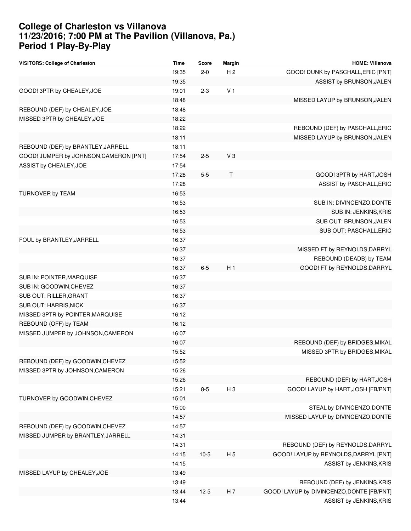#### **College of Charleston vs Villanova 11/23/2016; 7:00 PM at The Pavilion (Villanova, Pa.) Period 1 Play-By-Play**

| VISITORS: College of Charleston        | <b>Time</b> | <b>Score</b> | <b>Margin</b>  | <b>HOME: Villanova</b>                    |
|----------------------------------------|-------------|--------------|----------------|-------------------------------------------|
|                                        | 19:35       | $2 - 0$      | H <sub>2</sub> | GOOD! DUNK by PASCHALL, ERIC [PNT]        |
|                                        | 19:35       |              |                | ASSIST by BRUNSON, JALEN                  |
| GOOD! 3PTR by CHEALEY, JOE             | 19:01       | $2 - 3$      | V <sub>1</sub> |                                           |
|                                        | 18:48       |              |                | MISSED LAYUP by BRUNSON, JALEN            |
| REBOUND (DEF) by CHEALEY, JOE          | 18:48       |              |                |                                           |
| MISSED 3PTR by CHEALEY, JOE            | 18:22       |              |                |                                           |
|                                        | 18:22       |              |                | REBOUND (DEF) by PASCHALL, ERIC           |
|                                        | 18:11       |              |                | MISSED LAYUP by BRUNSON, JALEN            |
| REBOUND (DEF) by BRANTLEY, JARRELL     | 18:11       |              |                |                                           |
| GOOD! JUMPER by JOHNSON, CAMERON [PNT] | 17:54       | $2 - 5$      | $V_3$          |                                           |
| ASSIST by CHEALEY, JOE                 | 17:54       |              |                |                                           |
|                                        | 17:28       | $5-5$        | T              | GOOD! 3PTR by HART, JOSH                  |
|                                        | 17:28       |              |                | ASSIST by PASCHALL, ERIC                  |
| TURNOVER by TEAM                       | 16:53       |              |                |                                           |
|                                        | 16:53       |              |                | SUB IN: DIVINCENZO, DONTE                 |
|                                        | 16:53       |              |                | SUB IN: JENKINS, KRIS                     |
|                                        | 16:53       |              |                | SUB OUT: BRUNSON, JALEN                   |
|                                        | 16:53       |              |                | SUB OUT: PASCHALL, ERIC                   |
| FOUL by BRANTLEY, JARRELL              | 16:37       |              |                |                                           |
|                                        | 16:37       |              |                | MISSED FT by REYNOLDS, DARRYL             |
|                                        | 16:37       |              |                | REBOUND (DEADB) by TEAM                   |
|                                        | 16:37       | $6-5$        | H <sub>1</sub> | GOOD! FT by REYNOLDS, DARRYL              |
| SUB IN: POINTER, MARQUISE              | 16:37       |              |                |                                           |
| SUB IN: GOODWIN, CHEVEZ                | 16:37       |              |                |                                           |
| SUB OUT: RILLER, GRANT                 | 16:37       |              |                |                                           |
| <b>SUB OUT: HARRIS, NICK</b>           | 16:37       |              |                |                                           |
| MISSED 3PTR by POINTER, MARQUISE       | 16:12       |              |                |                                           |
| REBOUND (OFF) by TEAM                  | 16:12       |              |                |                                           |
| MISSED JUMPER by JOHNSON, CAMERON      | 16:07       |              |                |                                           |
|                                        | 16:07       |              |                | REBOUND (DEF) by BRIDGES, MIKAL           |
|                                        | 15:52       |              |                | MISSED 3PTR by BRIDGES, MIKAL             |
| REBOUND (DEF) by GOODWIN, CHEVEZ       | 15:52       |              |                |                                           |
| MISSED 3PTR by JOHNSON, CAMERON        | 15:26       |              |                |                                           |
|                                        | 15:26       |              |                | REBOUND (DEF) by HART, JOSH               |
|                                        | 15:21       | $8 - 5$      | H <sub>3</sub> | GOOD! LAYUP by HART, JOSH [FB/PNT]        |
| TURNOVER by GOODWIN, CHEVEZ            | 15:01       |              |                |                                           |
|                                        | 15:00       |              |                | STEAL by DIVINCENZO, DONTE                |
|                                        | 14:57       |              |                | MISSED LAYUP by DIVINCENZO, DONTE         |
| REBOUND (DEF) by GOODWIN, CHEVEZ       | 14:57       |              |                |                                           |
| MISSED JUMPER by BRANTLEY, JARRELL     | 14:31       |              |                |                                           |
|                                        | 14:31       |              |                | REBOUND (DEF) by REYNOLDS, DARRYL         |
|                                        | 14:15       | $10-5$       | H <sub>5</sub> | GOOD! LAYUP by REYNOLDS, DARRYL [PNT]     |
|                                        | 14:15       |              |                | ASSIST by JENKINS, KRIS                   |
| MISSED LAYUP by CHEALEY, JOE           | 13:49       |              |                |                                           |
|                                        | 13:49       |              |                | REBOUND (DEF) by JENKINS, KRIS            |
|                                        | 13:44       | $12-5$       | H 7            | GOOD! LAYUP by DIVINCENZO, DONTE [FB/PNT] |
|                                        |             |              |                | ASSIST by JENKINS, KRIS                   |
|                                        | 13:44       |              |                |                                           |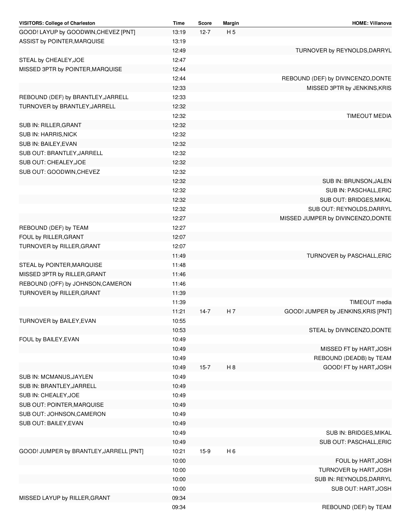| VISITORS: College of Charleston                                | Time           | Score    | Margin         | <b>HOME: Villanova</b>              |
|----------------------------------------------------------------|----------------|----------|----------------|-------------------------------------|
| GOOD! LAYUP by GOODWIN, CHEVEZ [PNT]                           | 13:19          | $12 - 7$ | H <sub>5</sub> |                                     |
| ASSIST by POINTER, MARQUISE                                    | 13:19          |          |                |                                     |
|                                                                | 12:49          |          |                | TURNOVER by REYNOLDS, DARRYL        |
| STEAL by CHEALEY, JOE                                          | 12:47          |          |                |                                     |
| MISSED 3PTR by POINTER, MARQUISE                               | 12:44          |          |                |                                     |
|                                                                | 12:44          |          |                | REBOUND (DEF) by DIVINCENZO, DONTE  |
|                                                                | 12:33          |          |                | MISSED 3PTR by JENKINS, KRIS        |
| REBOUND (DEF) by BRANTLEY, JARRELL                             | 12:33          |          |                |                                     |
| TURNOVER by BRANTLEY, JARRELL                                  | 12:32          |          |                |                                     |
|                                                                | 12:32          |          |                | <b>TIMEOUT MEDIA</b>                |
| SUB IN: RILLER, GRANT                                          | 12:32          |          |                |                                     |
| SUB IN: HARRIS, NICK                                           | 12:32          |          |                |                                     |
| SUB IN: BAILEY, EVAN                                           | 12:32          |          |                |                                     |
| SUB OUT: BRANTLEY, JARRELL                                     | 12:32          |          |                |                                     |
| SUB OUT: CHEALEY, JOE                                          | 12:32          |          |                |                                     |
| SUB OUT: GOODWIN, CHEVEZ                                       | 12:32          |          |                |                                     |
|                                                                | 12:32          |          |                | SUB IN: BRUNSON, JALEN              |
|                                                                | 12:32          |          |                | SUB IN: PASCHALL, ERIC              |
|                                                                | 12:32          |          |                | SUB OUT: BRIDGES, MIKAL             |
|                                                                | 12:32          |          |                | SUB OUT: REYNOLDS, DARRYL           |
|                                                                | 12:27          |          |                | MISSED JUMPER by DIVINCENZO, DONTE  |
| REBOUND (DEF) by TEAM                                          | 12:27          |          |                |                                     |
| FOUL by RILLER, GRANT                                          | 12:07          |          |                |                                     |
| TURNOVER by RILLER, GRANT                                      | 12:07          |          |                |                                     |
|                                                                | 11:49          |          |                | TURNOVER by PASCHALL, ERIC          |
| STEAL by POINTER, MARQUISE                                     | 11:48          |          |                |                                     |
| MISSED 3PTR by RILLER, GRANT                                   | 11:46          |          |                |                                     |
|                                                                |                |          |                |                                     |
| REBOUND (OFF) by JOHNSON, CAMERON<br>TURNOVER by RILLER, GRANT | 11:46<br>11:39 |          |                |                                     |
|                                                                |                |          |                |                                     |
|                                                                | 11:39          |          |                | TIMEOUT media                       |
|                                                                | 11:21          | $14-7$   | H 7            | GOOD! JUMPER by JENKINS, KRIS [PNT] |
| TURNOVER by BAILEY, EVAN                                       | 10:55          |          |                |                                     |
|                                                                | 10:53          |          |                | STEAL by DIVINCENZO, DONTE          |
| FOUL by BAILEY, EVAN                                           | 10:49          |          |                |                                     |
|                                                                | 10:49          |          |                | MISSED FT by HART, JOSH             |
|                                                                | 10:49          |          |                | REBOUND (DEADB) by TEAM             |
|                                                                | 10:49          | $15 - 7$ | H <sub>8</sub> | GOOD! FT by HART, JOSH              |
| SUB IN: MCMANUS, JAYLEN                                        | 10:49          |          |                |                                     |
| SUB IN: BRANTLEY, JARRELL                                      | 10:49          |          |                |                                     |
| SUB IN: CHEALEY, JOE                                           | 10:49          |          |                |                                     |
| SUB OUT: POINTER, MARQUISE                                     | 10:49          |          |                |                                     |
| SUB OUT: JOHNSON, CAMERON                                      | 10:49          |          |                |                                     |
| SUB OUT: BAILEY, EVAN                                          | 10:49          |          |                |                                     |
|                                                                | 10:49          |          |                | SUB IN: BRIDGES, MIKAL              |
|                                                                | 10:49          |          |                | SUB OUT: PASCHALL, ERIC             |
| GOOD! JUMPER by BRANTLEY, JARRELL [PNT]                        | 10:21          | $15-9$   | H <sub>6</sub> |                                     |
|                                                                | 10:00          |          |                | FOUL by HART, JOSH                  |
|                                                                | 10:00          |          |                | TURNOVER by HART, JOSH              |
|                                                                | 10:00          |          |                | SUB IN: REYNOLDS, DARRYL            |
|                                                                | 10:00          |          |                | SUB OUT: HART, JOSH                 |
| MISSED LAYUP by RILLER, GRANT                                  | 09:34          |          |                |                                     |
|                                                                | 09:34          |          |                | REBOUND (DEF) by TEAM               |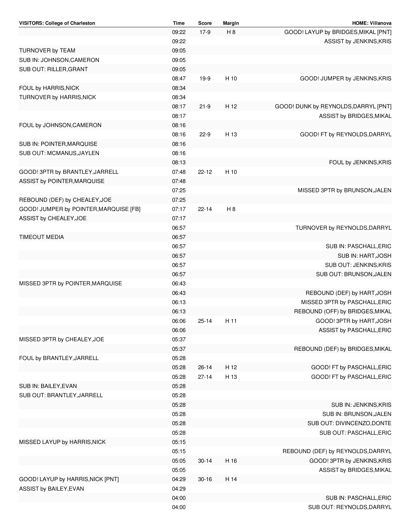| VISITORS: College of Charleston        | Time  | Score     | <b>Margin</b>  | <b>HOME: Villanova</b>               |
|----------------------------------------|-------|-----------|----------------|--------------------------------------|
|                                        | 09:22 | $17-9$    | H <sub>8</sub> | GOOD! LAYUP by BRIDGES, MIKAL [PNT]  |
|                                        | 09:22 |           |                | ASSIST by JENKINS, KRIS              |
| TURNOVER by TEAM                       | 09:05 |           |                |                                      |
| SUB IN: JOHNSON, CAMERON               | 09:05 |           |                |                                      |
| SUB OUT: RILLER, GRANT                 | 09:05 |           |                |                                      |
|                                        | 08:47 | $19-9$    | H 10           | GOOD! JUMPER by JENKINS, KRIS        |
| FOUL by HARRIS, NICK                   | 08:34 |           |                |                                      |
| TURNOVER by HARRIS, NICK               | 08:34 |           |                |                                      |
|                                        | 08:17 | $21-9$    | H 12           | GOOD! DUNK by REYNOLDS, DARRYL [PNT] |
|                                        | 08:17 |           |                | ASSIST by BRIDGES, MIKAL             |
| FOUL by JOHNSON, CAMERON               | 08:16 |           |                |                                      |
|                                        | 08:16 | $22-9$    | H 13           | GOOD! FT by REYNOLDS, DARRYL         |
|                                        |       |           |                |                                      |
| SUB IN: POINTER, MARQUISE              | 08:16 |           |                |                                      |
| SUB OUT: MCMANUS, JAYLEN               | 08:16 |           |                |                                      |
|                                        | 08:13 |           |                | FOUL by JENKINS, KRIS                |
| GOOD! 3PTR by BRANTLEY, JARRELL        | 07:48 | $22 - 12$ | H 10           |                                      |
| ASSIST by POINTER, MARQUISE            | 07:48 |           |                |                                      |
|                                        | 07:25 |           |                | MISSED 3PTR by BRUNSON, JALEN        |
| REBOUND (DEF) by CHEALEY, JOE          | 07:25 |           |                |                                      |
| GOOD! JUMPER by POINTER, MARQUISE [FB] | 07:17 | $22 - 14$ | H <sub>8</sub> |                                      |
| ASSIST by CHEALEY, JOE                 | 07:17 |           |                |                                      |
|                                        | 06:57 |           |                | TURNOVER by REYNOLDS, DARRYL         |
| <b>TIMEOUT MEDIA</b>                   | 06:57 |           |                |                                      |
|                                        | 06:57 |           |                | SUB IN: PASCHALL, ERIC               |
|                                        | 06:57 |           |                | SUB IN: HART, JOSH                   |
|                                        | 06:57 |           |                | SUB OUT: JENKINS, KRIS               |
|                                        | 06:57 |           |                | SUB OUT: BRUNSON, JALEN              |
| MISSED 3PTR by POINTER, MARQUISE       | 06:43 |           |                |                                      |
|                                        | 06:43 |           |                | REBOUND (DEF) by HART, JOSH          |
|                                        | 06:13 |           |                | MISSED 3PTR by PASCHALL, ERIC        |
|                                        | 06:13 |           |                | REBOUND (OFF) by BRIDGES, MIKAL      |
|                                        | 06:06 | 25-14     | H 11           | GOOD! 3PTR by HART, JOSH             |
|                                        | 06:06 |           |                | ASSIST by PASCHALL, ERIC             |
| MISSED 3PTR by CHEALEY, JOE            | 05:37 |           |                |                                      |
|                                        |       |           |                | REBOUND (DEF) by BRIDGES, MIKAL      |
|                                        | 05:37 |           |                |                                      |
| FOUL by BRANTLEY, JARRELL              | 05:28 |           |                |                                      |
|                                        | 05:28 | $26 - 14$ | H 12           | GOOD! FT by PASCHALL, ERIC           |
|                                        | 05:28 | $27 - 14$ | H 13           | GOOD! FT by PASCHALL, ERIC           |
| SUB IN: BAILEY, EVAN                   | 05:28 |           |                |                                      |
| SUB OUT: BRANTLEY, JARRELL             | 05:28 |           |                |                                      |
|                                        | 05:28 |           |                | SUB IN: JENKINS, KRIS                |
|                                        | 05:28 |           |                | SUB IN: BRUNSON, JALEN               |
|                                        | 05:28 |           |                | SUB OUT: DIVINCENZO, DONTE           |
|                                        | 05:28 |           |                | SUB OUT: PASCHALL, ERIC              |
| MISSED LAYUP by HARRIS, NICK           | 05:15 |           |                |                                      |
|                                        | 05:15 |           |                | REBOUND (DEF) by REYNOLDS, DARRYL    |
|                                        | 05:05 | $30 - 14$ | H 16           | GOOD! 3PTR by JENKINS, KRIS          |
|                                        | 05:05 |           |                | ASSIST by BRIDGES, MIKAL             |
| GOOD! LAYUP by HARRIS, NICK [PNT]      | 04:29 | $30 - 16$ | H 14           |                                      |
| ASSIST by BAILEY, EVAN                 | 04:29 |           |                |                                      |
|                                        | 04:00 |           |                | SUB IN: PASCHALL, ERIC               |
|                                        | 04:00 |           |                | SUB OUT: REYNOLDS, DARRYL            |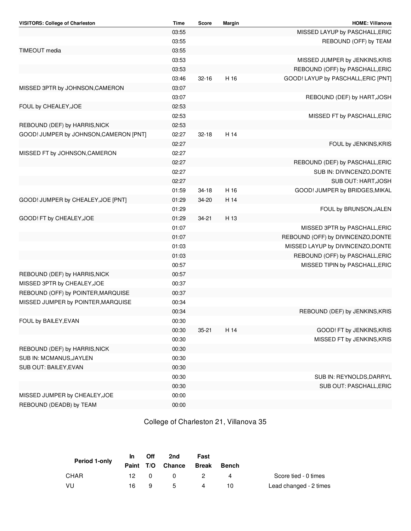| VISITORS: College of Charleston        | <b>Time</b> | Score     | Margin | HOME: Villanova                     |
|----------------------------------------|-------------|-----------|--------|-------------------------------------|
|                                        | 03:55       |           |        | MISSED LAYUP by PASCHALL, ERIC      |
|                                        | 03:55       |           |        | REBOUND (OFF) by TEAM               |
| TIMEOUT media                          | 03:55       |           |        |                                     |
|                                        | 03:53       |           |        | MISSED JUMPER by JENKINS, KRIS      |
|                                        | 03:53       |           |        | REBOUND (OFF) by PASCHALL, ERIC     |
|                                        | 03:46       | $32 - 16$ | H 16   | GOOD! LAYUP by PASCHALL, ERIC [PNT] |
| MISSED 3PTR by JOHNSON, CAMERON        | 03:07       |           |        |                                     |
|                                        | 03:07       |           |        | REBOUND (DEF) by HART, JOSH         |
| FOUL by CHEALEY, JOE                   | 02:53       |           |        |                                     |
|                                        | 02:53       |           |        | MISSED FT by PASCHALL, ERIC         |
| REBOUND (DEF) by HARRIS, NICK          | 02:53       |           |        |                                     |
| GOOD! JUMPER by JOHNSON, CAMERON [PNT] | 02:27       | $32 - 18$ | H 14   |                                     |
|                                        | 02:27       |           |        | FOUL by JENKINS, KRIS               |
| MISSED FT by JOHNSON, CAMERON          | 02:27       |           |        |                                     |
|                                        | 02:27       |           |        | REBOUND (DEF) by PASCHALL, ERIC     |
|                                        | 02:27       |           |        | SUB IN: DIVINCENZO, DONTE           |
|                                        | 02:27       |           |        | SUB OUT: HART, JOSH                 |
|                                        | 01:59       | $34 - 18$ | H 16   | GOOD! JUMPER by BRIDGES, MIKAL      |
| GOOD! JUMPER by CHEALEY, JOE [PNT]     | 01:29       | 34-20     | H 14   |                                     |
|                                        | 01:29       |           |        | FOUL by BRUNSON, JALEN              |
| GOOD! FT by CHEALEY, JOE               | 01:29       | $34 - 21$ | H 13   |                                     |
|                                        | 01:07       |           |        | MISSED 3PTR by PASCHALL, ERIC       |
|                                        | 01:07       |           |        | REBOUND (OFF) by DIVINCENZO, DONTE  |
|                                        | 01:03       |           |        | MISSED LAYUP by DIVINCENZO, DONTE   |
|                                        | 01:03       |           |        | REBOUND (OFF) by PASCHALL, ERIC     |
|                                        | 00:57       |           |        | MISSED TIPIN by PASCHALL, ERIC      |
| REBOUND (DEF) by HARRIS, NICK          | 00:57       |           |        |                                     |
| MISSED 3PTR by CHEALEY, JOE            | 00:37       |           |        |                                     |
| REBOUND (OFF) by POINTER, MARQUISE     | 00:37       |           |        |                                     |
| MISSED JUMPER by POINTER, MARQUISE     | 00:34       |           |        |                                     |
|                                        | 00:34       |           |        | REBOUND (DEF) by JENKINS, KRIS      |
| FOUL by BAILEY, EVAN                   | 00:30       |           |        |                                     |
|                                        | 00:30       | $35 - 21$ | H 14   | GOOD! FT by JENKINS, KRIS           |
|                                        | 00:30       |           |        | MISSED FT by JENKINS, KRIS          |
| REBOUND (DEF) by HARRIS, NICK          | 00:30       |           |        |                                     |
| SUB IN: MCMANUS, JAYLEN                | 00:30       |           |        |                                     |
| SUB OUT: BAILEY, EVAN                  | 00:30       |           |        |                                     |
|                                        | 00:30       |           |        | SUB IN: REYNOLDS, DARRYL            |
|                                        | 00:30       |           |        | SUB OUT: PASCHALL, ERIC             |
| MISSED JUMPER by CHEALEY, JOE          | 00:00       |           |        |                                     |
| REBOUND (DEADB) by TEAM                | 00:00       |           |        |                                     |

College of Charleston 21, Villanova 35

| Period 1-only | In. | Off | 2nd              | Fast  |              |                        |
|---------------|-----|-----|------------------|-------|--------------|------------------------|
|               |     |     | Paint T/O Chance | Break | <b>Bench</b> |                        |
| CHAR          | 12  | - 0 | $^{\circ}$       | -2.   | $\Delta$     | Score tied - 0 times   |
| - VU          | 16. | q   | 5                | 4     | 10           | Lead changed - 2 times |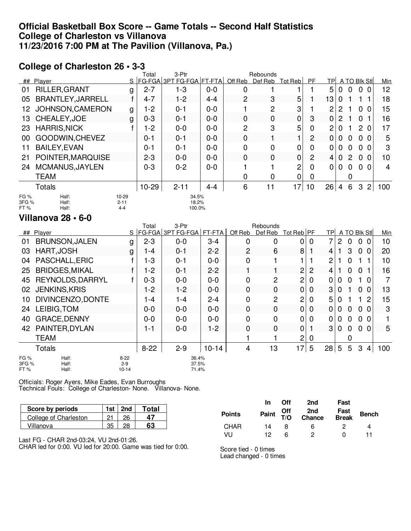#### **Official Basketball Box Score -- Game Totals -- Second Half Statistics College of Charleston vs Villanova 11/23/2016 7:00 PM at The Pavilion (Villanova, Pa.)**

### **College of Charleston 26 • 3-3**

|                              |                          |                              | Total     | 3-Ptr                    |         |                | Rebounds       |                 |                |                |   |                |                |                |     |
|------------------------------|--------------------------|------------------------------|-----------|--------------------------|---------|----------------|----------------|-----------------|----------------|----------------|---|----------------|----------------|----------------|-----|
|                              | ## Player                | S                            |           | FG-FGA 3PT FG-FGA FT-FTA |         | Off Reb        | Def Reb        | Tot Reb         | <b>PF</b>      | TP.            |   |                | A TO Blk Stl   |                | Min |
| 01                           | RILLER, GRANT            | g                            | $2 - 7$   | $1 - 3$                  | $0 - 0$ | 0              |                |                 |                | 5              | 0 | 0              | $\Omega$       | 0.             | 12  |
| 05                           | <b>BRANTLEY, JARRELL</b> |                              | $4 - 7$   | $1 - 2$                  | 4-4     | $\overline{2}$ | 3              | 5               |                | 13             | 0 |                |                |                | 18  |
| 12.                          | JOHNSON, CAMERON         | g                            | $1-2$     | $0 - 1$                  | $0-0$   |                | $\overline{2}$ | 3               |                | $\overline{2}$ | 2 |                | 0              | $\Omega$       | 15  |
| 13.                          | CHEALEY, JOE             | g                            | $0 - 3$   | $0 - 1$                  | $0 - 0$ | 0              | 0              | $\mathbf 0$     | 3              | 0              | 2 |                | 0              |                | 16  |
| 23                           | <b>HARRIS, NICK</b>      |                              | 1-2       | $0 - 0$                  | $0 - 0$ | 2              | 3              | 5               | 0              | 2              | 0 |                | 2              | $\Omega$       | 17  |
| 00                           | GOODWIN, CHEVEZ          |                              | $0 - 1$   | $0 - 1$                  | $0 - 0$ | 0              |                |                 | $\overline{2}$ | 0              | 0 | $\Omega$       | 0 <sub>0</sub> |                | 5   |
| 11                           | <b>BAILEY, EVAN</b>      |                              | $0 - 1$   | $0 - 1$                  | $0 - 0$ | 0              | 0              | 0               | 0              | 0              | 0 | 0              | 0              | $\Omega$       | 3   |
| 21                           | POINTER, MARQUISE        |                              | $2 - 3$   | $0 - 0$                  | $0 - 0$ | $\Omega$       | 0              | $\Omega$        | 2              | 4              | 0 | $\overline{2}$ | $\Omega$       | $\Omega$       | 10  |
| 24                           | MCMANUS, JAYLEN          |                              | $0 - 3$   | $0 - 2$                  | $0 - 0$ |                |                | 2               | 0              | 0              | 0 | $\Omega$       | 0 <sub>0</sub> |                | 4   |
|                              | <b>TEAM</b>              |                              |           |                          |         | 0              | 0              | 0               | 0              |                |   | 0              |                |                |     |
|                              | Totals                   |                              | $10 - 29$ | $2 - 11$                 | 4-4     | 6              | 11             | 17 <sub>1</sub> | 10             | 26             | 4 | 6              | 3              | $\overline{2}$ | 100 |
| <b>FG %</b><br>3FG %<br>FT % | Half:<br>Half:<br>Half:  | 10-29<br>$2 - 11$<br>$4 - 4$ |           | 34.5%<br>18.2%<br>100.0% |         |                |                |                 |                |                |   |                |                |                |     |

#### **Villanova 28 • 6-0**

|                      |                         |                                  | Total    | 3-Ptr                   |           |                | Rebounds |            |                |                |   |          |                                |     |
|----------------------|-------------------------|----------------------------------|----------|-------------------------|-----------|----------------|----------|------------|----------------|----------------|---|----------|--------------------------------|-----|
|                      | ## Player               | S                                |          | FG-FGA 3PT FG-FGA       | FT-FTA    | Off Reb        | Def Reb  | Tot Reb PF |                | <b>TPI</b>     |   |          | A TO Blk Stl                   | Min |
| 01                   | <b>BRUNSON, JALEN</b>   | g                                | $2 - 3$  | $0 - 0$                 | $3 - 4$   | 0              | 0        | 0          | 0              | $\overline{7}$ | 2 | 0        | 0<br>$\Omega$                  | 10  |
| 03                   | HART, JOSH              | g                                | 1-4      | $0 - 1$                 | $2 - 2$   | $\overline{c}$ | 6        | 8          |                | 4              |   | 3        | 0<br>$\overline{0}$            | 20  |
| 04                   | PASCHALL, ERIC          |                                  | 1-3      | $0 - 1$                 | $0 - 0$   | 0              |          |            |                | 2              |   | 0        |                                | 10  |
| 25                   | <b>BRIDGES, MIKAL</b>   |                                  | 1-2      | $0 - 1$                 | $2 - 2$   |                |          | 2          | $\overline{2}$ | 4              |   | 0        | $\Omega$                       | 16  |
| 45                   | REYNOLDS, DARRYL        |                                  | $0 - 3$  | $0-0$                   | $0 - 0$   | 0              | 2        | 2          | 0              | 0              | 0 | $\Omega$ | 1.<br>- 0                      | 7   |
| 02                   | <b>JENKINS, KRIS</b>    |                                  | $1 - 2$  | $1 - 2$                 | $0 - 0$   | 0              | 0        | 0          | 0              | 3              | 0 |          | 0<br>$\overline{0}$            | 13  |
| 10                   | DIVINCENZO, DONTE       |                                  | 1-4      | $1 - 4$                 | $2 - 4$   | 0              | 2        | 2          | 0              | 5              | 0 |          | 2<br>1.                        | 15  |
| 24                   | LEIBIG, TOM             |                                  | $0 - 0$  | $0 - 0$                 | $0 - 0$   | $\mathbf 0$    | 0        | 0          | 0              | 0              | 0 | 0        | $\mathbf{0}$<br>$\overline{0}$ | 3   |
| 40                   | <b>GRACE, DENNY</b>     |                                  | $0 - 0$  | $0 - 0$                 | $0-0$     | 0              | 0        | 0          | 0              | 0              | 0 | 0        | 0 <sub>0</sub>                 |     |
| 42                   | PAINTER, DYLAN          |                                  | $1 - 1$  | $0 - 0$                 | $1-2$     | $\Omega$       | 0        | 0          |                | 3              | 0 | 0        | $\Omega$<br>- 0                | 5   |
|                      | <b>TEAM</b>             |                                  |          |                         |           |                |          | 2          | 0              |                |   | 0        |                                |     |
|                      | <b>Totals</b>           |                                  | $8 - 22$ | $2 - 9$                 | $10 - 14$ | 4              | 13       | 17         | 5              | 28             | 5 | 5        | 3<br>4                         | 100 |
| FG %<br>3FG %<br>FT% | Half:<br>Half:<br>Half: | $8 - 22$<br>$2 - 9$<br>$10 - 14$ |          | 36.4%<br>37.5%<br>71.4% |           |                |          |            |                |                |   |          |                                |     |

Officials: Roger Ayers, Mike Eades, Evan Burroughs Technical Fouls: College of Charleston- None. Villanova- None.

| Score by periods      | 1st | 2nd | Total |
|-----------------------|-----|-----|-------|
| College of Charleston |     |     |       |
| Villanova             |     |     | 63    |

Last FG - CHAR 2nd-03:24, VU 2nd-01:26. CHAR led for 0:00. VU led for 20:00. Game was tied for 0:00.

| <b>Points</b> | <b>In</b> | <b>Off</b> | 2nd<br>Paint Off 2nd Fast<br>T/O Chance Break | Fast | <b>Bench</b> |
|---------------|-----------|------------|-----------------------------------------------|------|--------------|
| CHAR          | 14        | я          | 6                                             | 2    | 4            |
| VU            | 12        | ิค         | 2                                             |      | 11           |

Score tied - 0 times Lead changed - 0 times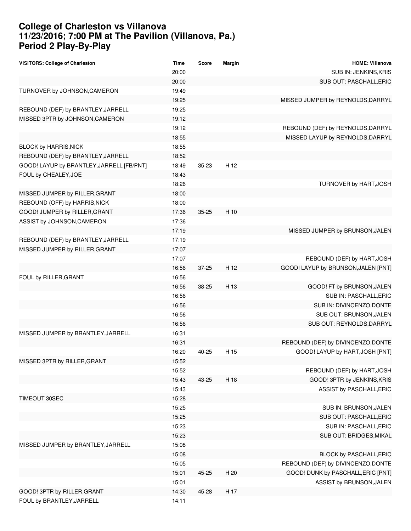#### **College of Charleston vs Villanova 11/23/2016; 7:00 PM at The Pavilion (Villanova, Pa.) Period 2 Play-By-Play**

| VISITORS: College of Charleston           | <b>Time</b> | Score     | <b>Margin</b> | <b>HOME: Villanova</b>              |
|-------------------------------------------|-------------|-----------|---------------|-------------------------------------|
|                                           | 20:00       |           |               | SUB IN: JENKINS, KRIS               |
|                                           | 20:00       |           |               | SUB OUT: PASCHALL, ERIC             |
| TURNOVER by JOHNSON, CAMERON              | 19:49       |           |               |                                     |
|                                           | 19:25       |           |               | MISSED JUMPER by REYNOLDS, DARRYL   |
| REBOUND (DEF) by BRANTLEY, JARRELL        | 19:25       |           |               |                                     |
| MISSED 3PTR by JOHNSON, CAMERON           | 19:12       |           |               |                                     |
|                                           | 19:12       |           |               | REBOUND (DEF) by REYNOLDS, DARRYL   |
|                                           | 18:55       |           |               | MISSED LAYUP by REYNOLDS, DARRYL    |
| <b>BLOCK by HARRIS, NICK</b>              | 18:55       |           |               |                                     |
| REBOUND (DEF) by BRANTLEY, JARRELL        | 18:52       |           |               |                                     |
| GOOD! LAYUP by BRANTLEY, JARRELL [FB/PNT] | 18:49       | $35 - 23$ | H 12          |                                     |
| FOUL by CHEALEY, JOE                      | 18:43       |           |               |                                     |
|                                           | 18:26       |           |               | TURNOVER by HART, JOSH              |
| MISSED JUMPER by RILLER, GRANT            | 18:00       |           |               |                                     |
| REBOUND (OFF) by HARRIS, NICK             | 18:00       |           |               |                                     |
| GOOD! JUMPER by RILLER, GRANT             | 17:36       | $35 - 25$ | H 10          |                                     |
| ASSIST by JOHNSON, CAMERON                | 17:36       |           |               |                                     |
|                                           | 17:19       |           |               | MISSED JUMPER by BRUNSON, JALEN     |
| REBOUND (DEF) by BRANTLEY, JARRELL        | 17:19       |           |               |                                     |
| MISSED JUMPER by RILLER, GRANT            | 17:07       |           |               |                                     |
|                                           | 17:07       |           |               | REBOUND (DEF) by HART, JOSH         |
|                                           | 16:56       | $37 - 25$ | H 12          | GOOD! LAYUP by BRUNSON, JALEN [PNT] |
| FOUL by RILLER, GRANT                     | 16:56       |           |               |                                     |
|                                           | 16:56       | 38-25     | H 13          | GOOD! FT by BRUNSON, JALEN          |
|                                           | 16:56       |           |               | SUB IN: PASCHALL, ERIC              |
|                                           | 16:56       |           |               | SUB IN: DIVINCENZO, DONTE           |
|                                           | 16:56       |           |               | SUB OUT: BRUNSON, JALEN             |
|                                           | 16:56       |           |               | SUB OUT: REYNOLDS, DARRYL           |
| MISSED JUMPER by BRANTLEY, JARRELL        | 16:31       |           |               |                                     |
|                                           | 16:31       |           |               | REBOUND (DEF) by DIVINCENZO, DONTE  |
|                                           | 16:20       | 40-25     | H 15          | GOOD! LAYUP by HART, JOSH [PNT]     |
| MISSED 3PTR by RILLER, GRANT              | 15:52       |           |               |                                     |
|                                           | 15:52       |           |               | REBOUND (DEF) by HART, JOSH         |
|                                           | 15:43       | 43-25     | H 18          | GOOD! 3PTR by JENKINS, KRIS         |
|                                           | 15:43       |           |               | ASSIST by PASCHALL, ERIC            |
| TIMEOUT 30SEC                             | 15:28       |           |               |                                     |
|                                           | 15:25       |           |               | SUB IN: BRUNSON, JALEN              |
|                                           | 15:25       |           |               | SUB OUT: PASCHALL, ERIC             |
|                                           | 15:23       |           |               | SUB IN: PASCHALL, ERIC              |
|                                           | 15:23       |           |               | SUB OUT: BRIDGES, MIKAL             |
| MISSED JUMPER by BRANTLEY, JARRELL        | 15:08       |           |               |                                     |
|                                           | 15:08       |           |               | BLOCK by PASCHALL, ERIC             |
|                                           | 15:05       |           |               | REBOUND (DEF) by DIVINCENZO, DONTE  |
|                                           | 15:01       | 45-25     | H 20          | GOOD! DUNK by PASCHALL, ERIC [PNT]  |
|                                           | 15:01       |           |               | ASSIST by BRUNSON, JALEN            |
| GOOD! 3PTR by RILLER, GRANT               | 14:30       | 45-28     | H 17          |                                     |
| FOUL by BRANTLEY, JARRELL                 | 14:11       |           |               |                                     |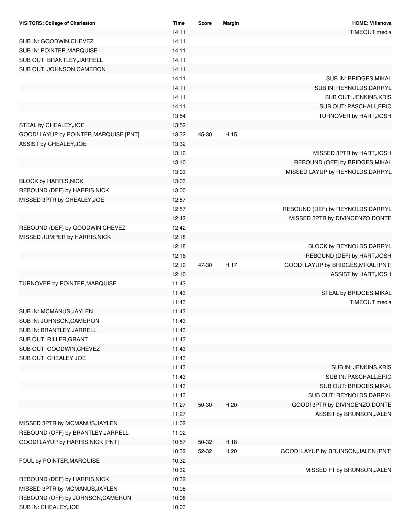| VISITORS: College of Charleston        | Time  | Score | Margin | <b>HOME: Villanova</b>              |
|----------------------------------------|-------|-------|--------|-------------------------------------|
|                                        | 14:11 |       |        | TIMEOUT media                       |
| SUB IN: GOODWIN, CHEVEZ                | 14:11 |       |        |                                     |
| SUB IN: POINTER, MARQUISE              | 14:11 |       |        |                                     |
| SUB OUT: BRANTLEY, JARRELL             | 14:11 |       |        |                                     |
| SUB OUT: JOHNSON, CAMERON              | 14:11 |       |        |                                     |
|                                        | 14:11 |       |        | SUB IN: BRIDGES, MIKAL              |
|                                        | 14:11 |       |        | SUB IN: REYNOLDS, DARRYL            |
|                                        | 14:11 |       |        | <b>SUB OUT: JENKINS, KRIS</b>       |
|                                        | 14:11 |       |        | SUB OUT: PASCHALL, ERIC             |
|                                        | 13:54 |       |        | TURNOVER by HART, JOSH              |
| STEAL by CHEALEY, JOE                  | 13:52 |       |        |                                     |
| GOOD! LAYUP by POINTER, MARQUISE [PNT] | 13:32 | 45-30 | H 15   |                                     |
| ASSIST by CHEALEY, JOE                 | 13:32 |       |        |                                     |
|                                        | 13:10 |       |        | MISSED 3PTR by HART, JOSH           |
|                                        | 13:10 |       |        | REBOUND (OFF) by BRIDGES, MIKAL     |
|                                        | 13:03 |       |        | MISSED LAYUP by REYNOLDS, DARRYL    |
| BLOCK by HARRIS, NICK                  | 13:03 |       |        |                                     |
| REBOUND (DEF) by HARRIS, NICK          | 13:00 |       |        |                                     |
| MISSED 3PTR by CHEALEY, JOE            | 12:57 |       |        |                                     |
|                                        | 12:57 |       |        | REBOUND (DEF) by REYNOLDS, DARRYL   |
|                                        | 12:42 |       |        | MISSED 3PTR by DIVINCENZO, DONTE    |
| REBOUND (DEF) by GOODWIN, CHEVEZ       | 12:42 |       |        |                                     |
| MISSED JUMPER by HARRIS, NICK          | 12:18 |       |        |                                     |
|                                        | 12:18 |       |        | BLOCK by REYNOLDS, DARRYL           |
|                                        | 12:16 |       |        | REBOUND (DEF) by HART, JOSH         |
|                                        | 12:10 | 47-30 | H 17   | GOOD! LAYUP by BRIDGES, MIKAL [PNT] |
|                                        | 12:10 |       |        | ASSIST by HART, JOSH                |
| TURNOVER by POINTER, MARQUISE          | 11:43 |       |        |                                     |
|                                        | 11:43 |       |        | STEAL by BRIDGES, MIKAL             |
|                                        | 11:43 |       |        | TIMEOUT media                       |
|                                        |       |       |        |                                     |
| SUB IN: MCMANUS, JAYLEN                | 11:43 |       |        |                                     |
| SUB IN: JOHNSON, CAMERON               | 11:43 |       |        |                                     |
| SUB IN: BRANTLEY, JARRELL              | 11:43 |       |        |                                     |
| SUB OUT: RILLER, GRANT                 | 11:43 |       |        |                                     |
| SUB OUT: GOODWIN, CHEVEZ               | 11:43 |       |        |                                     |
| SUB OUT: CHEALEY, JOE                  | 11:43 |       |        |                                     |
|                                        | 11:43 |       |        | SUB IN: JENKINS, KRIS               |
|                                        | 11:43 |       |        | SUB IN: PASCHALL, ERIC              |
|                                        | 11:43 |       |        | SUB OUT: BRIDGES, MIKAL             |
|                                        | 11:43 |       |        | SUB OUT: REYNOLDS, DARRYL           |
|                                        | 11:27 | 50-30 | H 20   | GOOD! 3PTR by DIVINCENZO, DONTE     |
|                                        | 11:27 |       |        | ASSIST by BRUNSON, JALEN            |
| MISSED 3PTR by MCMANUS, JAYLEN         | 11:02 |       |        |                                     |
| REBOUND (OFF) by BRANTLEY, JARRELL     | 11:02 |       |        |                                     |
| GOOD! LAYUP by HARRIS, NICK [PNT]      | 10:57 | 50-32 | H 18   |                                     |
|                                        | 10:32 | 52-32 | H 20   | GOOD! LAYUP by BRUNSON, JALEN [PNT] |
| FOUL by POINTER, MARQUISE              | 10:32 |       |        |                                     |
|                                        | 10:32 |       |        | MISSED FT by BRUNSON, JALEN         |
| REBOUND (DEF) by HARRIS, NICK          | 10:32 |       |        |                                     |
| MISSED 3PTR by MCMANUS, JAYLEN         | 10:08 |       |        |                                     |
| REBOUND (OFF) by JOHNSON, CAMERON      | 10:08 |       |        |                                     |
| SUB IN: CHEALEY, JOE                   | 10:03 |       |        |                                     |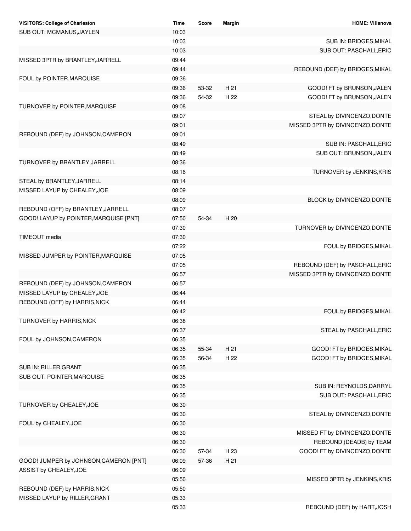| VISITORS: College of Charleston        | Time  | Score | Margin | <b>HOME: Villanova</b>           |
|----------------------------------------|-------|-------|--------|----------------------------------|
| SUB OUT: MCMANUS, JAYLEN               | 10:03 |       |        |                                  |
|                                        | 10:03 |       |        | SUB IN: BRIDGES, MIKAL           |
|                                        | 10:03 |       |        | SUB OUT: PASCHALL, ERIC          |
| MISSED 3PTR by BRANTLEY, JARRELL       | 09:44 |       |        |                                  |
|                                        | 09:44 |       |        | REBOUND (DEF) by BRIDGES, MIKAL  |
| FOUL by POINTER, MARQUISE              | 09:36 |       |        |                                  |
|                                        | 09:36 | 53-32 | H 21   | GOOD! FT by BRUNSON, JALEN       |
|                                        | 09:36 | 54-32 | H 22   | GOOD! FT by BRUNSON, JALEN       |
| TURNOVER by POINTER, MARQUISE          | 09:08 |       |        |                                  |
|                                        | 09:07 |       |        | STEAL by DIVINCENZO, DONTE       |
|                                        | 09:01 |       |        | MISSED 3PTR by DIVINCENZO, DONTE |
|                                        |       |       |        |                                  |
| REBOUND (DEF) by JOHNSON, CAMERON      | 09:01 |       |        |                                  |
|                                        | 08:49 |       |        | SUB IN: PASCHALL, ERIC           |
|                                        | 08:49 |       |        | SUB OUT: BRUNSON, JALEN          |
| TURNOVER by BRANTLEY, JARRELL          | 08:36 |       |        |                                  |
|                                        | 08:16 |       |        | TURNOVER by JENKINS, KRIS        |
| STEAL by BRANTLEY, JARRELL             | 08:14 |       |        |                                  |
| MISSED LAYUP by CHEALEY, JOE           | 08:09 |       |        |                                  |
|                                        | 08:09 |       |        | BLOCK by DIVINCENZO, DONTE       |
| REBOUND (OFF) by BRANTLEY, JARRELL     | 08:07 |       |        |                                  |
| GOOD! LAYUP by POINTER, MARQUISE [PNT] | 07:50 | 54-34 | H 20   |                                  |
|                                        | 07:30 |       |        | TURNOVER by DIVINCENZO, DONTE    |
| TIMEOUT media                          | 07:30 |       |        |                                  |
|                                        | 07:22 |       |        | FOUL by BRIDGES, MIKAL           |
| MISSED JUMPER by POINTER, MARQUISE     | 07:05 |       |        |                                  |
|                                        | 07:05 |       |        | REBOUND (DEF) by PASCHALL, ERIC  |
|                                        | 06:57 |       |        | MISSED 3PTR by DIVINCENZO, DONTE |
| REBOUND (DEF) by JOHNSON, CAMERON      | 06:57 |       |        |                                  |
| MISSED LAYUP by CHEALEY, JOE           | 06:44 |       |        |                                  |
| REBOUND (OFF) by HARRIS, NICK          | 06:44 |       |        |                                  |
|                                        | 06:42 |       |        | FOUL by BRIDGES, MIKAL           |
| TURNOVER by HARRIS, NICK               | 06:38 |       |        |                                  |
|                                        | 06:37 |       |        | STEAL by PASCHALL, ERIC          |
| FOUL by JOHNSON, CAMERON               | 06:35 |       |        |                                  |
|                                        |       | 55-34 | H 21   |                                  |
|                                        | 06:35 |       |        | GOOD! FT by BRIDGES, MIKAL       |
|                                        | 06:35 | 56-34 | H 22   | GOOD! FT by BRIDGES, MIKAL       |
| SUB IN: RILLER, GRANT                  | 06:35 |       |        |                                  |
| SUB OUT: POINTER, MARQUISE             | 06:35 |       |        |                                  |
|                                        | 06:35 |       |        | SUB IN: REYNOLDS, DARRYL         |
|                                        | 06:35 |       |        | SUB OUT: PASCHALL, ERIC          |
| TURNOVER by CHEALEY, JOE               | 06:30 |       |        |                                  |
|                                        | 06:30 |       |        | STEAL by DIVINCENZO, DONTE       |
| FOUL by CHEALEY, JOE                   | 06:30 |       |        |                                  |
|                                        | 06:30 |       |        | MISSED FT by DIVINCENZO, DONTE   |
|                                        | 06:30 |       |        | REBOUND (DEADB) by TEAM          |
|                                        | 06:30 | 57-34 | H 23   | GOOD! FT by DIVINCENZO, DONTE    |
| GOOD! JUMPER by JOHNSON, CAMERON [PNT] | 06:09 | 57-36 | H 21   |                                  |
| ASSIST by CHEALEY, JOE                 | 06:09 |       |        |                                  |
|                                        | 05:50 |       |        | MISSED 3PTR by JENKINS, KRIS     |
| REBOUND (DEF) by HARRIS, NICK          | 05:50 |       |        |                                  |
| MISSED LAYUP by RILLER, GRANT          | 05:33 |       |        |                                  |
|                                        | 05:33 |       |        | REBOUND (DEF) by HART, JOSH      |
|                                        |       |       |        |                                  |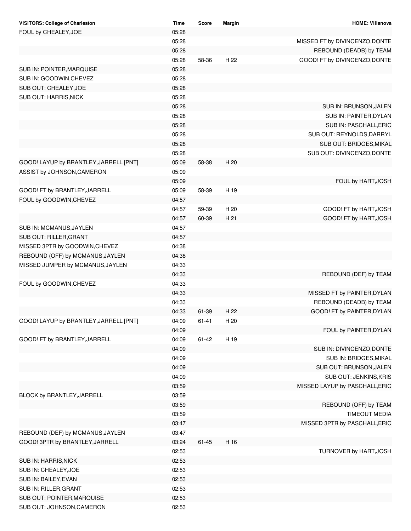| VISITORS: College of Charleston        | Time  | Score     | Margin | <b>HOME: Villanova</b>         |
|----------------------------------------|-------|-----------|--------|--------------------------------|
| FOUL by CHEALEY, JOE                   | 05:28 |           |        |                                |
|                                        | 05:28 |           |        | MISSED FT by DIVINCENZO, DONTE |
|                                        | 05:28 |           |        | REBOUND (DEADB) by TEAM        |
|                                        | 05:28 | 58-36     | H 22   | GOOD! FT by DIVINCENZO, DONTE  |
| SUB IN: POINTER, MARQUISE              | 05:28 |           |        |                                |
| SUB IN: GOODWIN, CHEVEZ                | 05:28 |           |        |                                |
| SUB OUT: CHEALEY, JOE                  | 05:28 |           |        |                                |
|                                        |       |           |        |                                |
| SUB OUT: HARRIS, NICK                  | 05:28 |           |        |                                |
|                                        | 05:28 |           |        | SUB IN: BRUNSON, JALEN         |
|                                        | 05:28 |           |        | SUB IN: PAINTER, DYLAN         |
|                                        | 05:28 |           |        | SUB IN: PASCHALL, ERIC         |
|                                        | 05:28 |           |        | SUB OUT: REYNOLDS, DARRYL      |
|                                        | 05:28 |           |        | SUB OUT: BRIDGES, MIKAL        |
|                                        | 05:28 |           |        | SUB OUT: DIVINCENZO, DONTE     |
| GOOD! LAYUP by BRANTLEY, JARRELL [PNT] | 05:09 | 58-38     | H 20   |                                |
| ASSIST by JOHNSON, CAMERON             | 05:09 |           |        |                                |
|                                        | 05:09 |           |        | FOUL by HART, JOSH             |
| GOOD! FT by BRANTLEY, JARRELL          | 05:09 | 58-39     | H 19   |                                |
| FOUL by GOODWIN, CHEVEZ                | 04:57 |           |        |                                |
|                                        |       |           |        |                                |
|                                        | 04:57 | 59-39     | H 20   | GOOD! FT by HART, JOSH         |
|                                        | 04:57 | 60-39     | H 21   | GOOD! FT by HART, JOSH         |
| SUB IN: MCMANUS, JAYLEN                | 04:57 |           |        |                                |
| SUB OUT: RILLER, GRANT                 | 04:57 |           |        |                                |
| MISSED 3PTR by GOODWIN, CHEVEZ         | 04:38 |           |        |                                |
| REBOUND (OFF) by MCMANUS, JAYLEN       | 04:38 |           |        |                                |
| MISSED JUMPER by MCMANUS, JAYLEN       | 04:33 |           |        |                                |
|                                        | 04:33 |           |        | REBOUND (DEF) by TEAM          |
| FOUL by GOODWIN, CHEVEZ                | 04:33 |           |        |                                |
|                                        | 04:33 |           |        | MISSED FT by PAINTER, DYLAN    |
|                                        | 04:33 |           |        | REBOUND (DEADB) by TEAM        |
|                                        | 04:33 | 61-39     | H 22   | GOOD! FT by PAINTER, DYLAN     |
|                                        |       |           |        |                                |
| GOOD! LAYUP by BRANTLEY, JARRELL [PNT] | 04:09 | $61 - 41$ | H 20   |                                |
|                                        | 04:09 |           |        | FOUL by PAINTER, DYLAN         |
| GOOD! FT by BRANTLEY, JARRELL          | 04:09 | $61 - 42$ | H 19   |                                |
|                                        | 04:09 |           |        | SUB IN: DIVINCENZO, DONTE      |
|                                        | 04:09 |           |        | SUB IN: BRIDGES, MIKAL         |
|                                        | 04:09 |           |        | SUB OUT: BRUNSON, JALEN        |
|                                        | 04:09 |           |        | SUB OUT: JENKINS, KRIS         |
|                                        | 03:59 |           |        | MISSED LAYUP by PASCHALL, ERIC |
| BLOCK by BRANTLEY, JARRELL             | 03:59 |           |        |                                |
|                                        | 03:59 |           |        | REBOUND (OFF) by TEAM          |
|                                        | 03:59 |           |        | <b>TIMEOUT MEDIA</b>           |
|                                        | 03:47 |           |        | MISSED 3PTR by PASCHALL, ERIC  |
| REBOUND (DEF) by MCMANUS, JAYLEN       | 03:47 |           |        |                                |
|                                        |       |           |        |                                |
| GOOD! 3PTR by BRANTLEY, JARRELL        | 03:24 | $61 - 45$ | H 16   |                                |
|                                        | 02:53 |           |        | TURNOVER by HART, JOSH         |
| SUB IN: HARRIS, NICK                   | 02:53 |           |        |                                |
| SUB IN: CHEALEY, JOE                   | 02:53 |           |        |                                |
| SUB IN: BAILEY, EVAN                   | 02:53 |           |        |                                |
| SUB IN: RILLER, GRANT                  | 02:53 |           |        |                                |
| SUB OUT: POINTER, MARQUISE             | 02:53 |           |        |                                |
| SUB OUT: JOHNSON, CAMERON              | 02:53 |           |        |                                |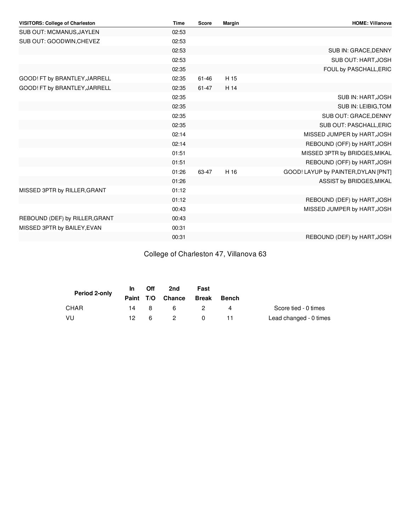| <b>Time</b> | <b>Score</b> | Margin | <b>HOME: Villanova</b>              |
|-------------|--------------|--------|-------------------------------------|
| 02:53       |              |        |                                     |
| 02:53       |              |        |                                     |
| 02:53       |              |        | SUB IN: GRACE, DENNY                |
| 02:53       |              |        | SUB OUT: HART, JOSH                 |
| 02:35       |              |        | FOUL by PASCHALL, ERIC              |
| 02:35       | 61-46        | H 15   |                                     |
| 02:35       | $61 - 47$    | H 14   |                                     |
| 02:35       |              |        | <b>SUB IN: HART, JOSH</b>           |
| 02:35       |              |        | SUB IN: LEIBIG, TOM                 |
| 02:35       |              |        | SUB OUT: GRACE, DENNY               |
| 02:35       |              |        | SUB OUT: PASCHALL, ERIC             |
| 02:14       |              |        | MISSED JUMPER by HART, JOSH         |
| 02:14       |              |        | REBOUND (OFF) by HART, JOSH         |
| 01:51       |              |        | MISSED 3PTR by BRIDGES, MIKAL       |
| 01:51       |              |        | REBOUND (OFF) by HART, JOSH         |
| 01:26       | 63-47        | H 16   | GOOD! LAYUP by PAINTER, DYLAN [PNT] |
| 01:26       |              |        | ASSIST by BRIDGES, MIKAL            |
| 01:12       |              |        |                                     |
| 01:12       |              |        | REBOUND (DEF) by HART, JOSH         |
| 00:43       |              |        | MISSED JUMPER by HART, JOSH         |
| 00:43       |              |        |                                     |
| 00:31       |              |        |                                     |
| 00:31       |              |        | REBOUND (DEF) by HART, JOSH         |
|             |              |        |                                     |

College of Charleston 47, Villanova 63

| Period 2-only | In In | Off | 2nd                    | Fast |              |                        |
|---------------|-------|-----|------------------------|------|--------------|------------------------|
|               |       |     | Paint T/O Chance Break |      | <b>Bench</b> |                        |
| CHAR          | 14 8  |     | -6                     |      |              | Score tied - 0 times   |
| - VU          | 12.   | - 6 | -2                     |      |              | Lead changed - 0 times |